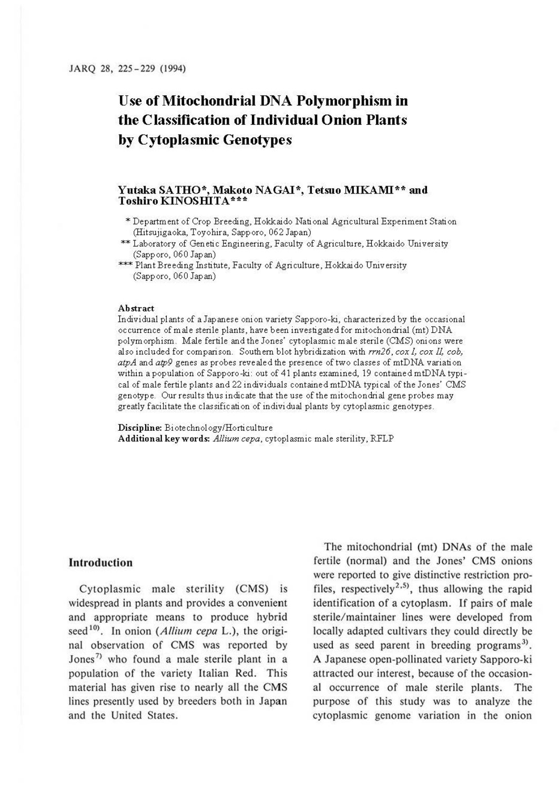# **Use of Mitochondrial DNA Polymorphism in the Classification of Individual Onion Plants by Cytoplasmic Genotypes**

# Yutaka SATHO\*, Makoto NAGAI\*, Tetsuo MIKAMI\*\* and **Toshiro KINOSHITA\*\*\***

- \* Department of Crop Breeding, Hokkaido National Agricultural Experiment Station (Hitsujigaoka, Toyohira, Sapporo, 062 Japan)
- \*\* Laboratory of Genetic Engineering, Faculty of Agriculture, Hokkaido University (Sapporo, 060 Japan)
- \*\*\* Plant Breeding Institute, Faculty of Agriculture, Hokkaido University (Sapporo, 060 Japan)

#### **Abstract**

Individual plants of a Japanese onion variety Sapporo-ki, characterized by the occasional occurrence of male sterile plants, have been investigated for mitochondrial (mt) DNA polymorphism. Male fertile and the Jones' cytoplasmic male sterile (CMS) onions were also included for comparison. Southern blot hybridization with *rrn26, cox I, cox II, cob, atpA* and *atp9* genes as probes revealed the presence of two classes of mtDNA variation within a population of Sapporo-ki: out of 41 plants examined, 19 contained mtDNA typical of male fertile plants and 22 individuals contained mtDNA typical of the Jones' CMS genotype. Our results thus indicate that the use of the mitochondrial gene probes may greatly facilitate the classification of individual plants by cytoplasmic genotypes.

**Discipline:** Bi ote chnol ogy/Horti culture **Additional keywords:** *Allium cepa,* cytoplasmic male sterility, RFLP

# **Introduction**

Cytoplasmic male sterility (CMS) is widespread in plants and provides a convenient and appropriate means to produce hybrid seed<sup>10</sup>. In onion (*Allium cepa* L.), the original observation of CMS was reported by Jones<sup>7)</sup> who found a male sterile plant in a population of the variety Italian Red. This material has given rise to nearly all the CMS lines presently used by breeders both in Japan and the United States.

The mitochondrial (mt) DNAs of the male fertile (normal) and the Jones' CMS onions were reported to give distinctive restriction profiles, respectively<sup>2,5)</sup>, thus allowing the rapid identification of a cytoplasm. If pairs of male sterile/maintainer lines were developed from locally adapted cultivars they could directly be used as seed parent in breeding programs<sup>3)</sup>. A Japanese open-pollinated variety Sapporo-ki attracted our interest, because of the occasional occurrence of male sterile plants. The purpose of this study was to analyze the cytoplasmic genome variation in the onion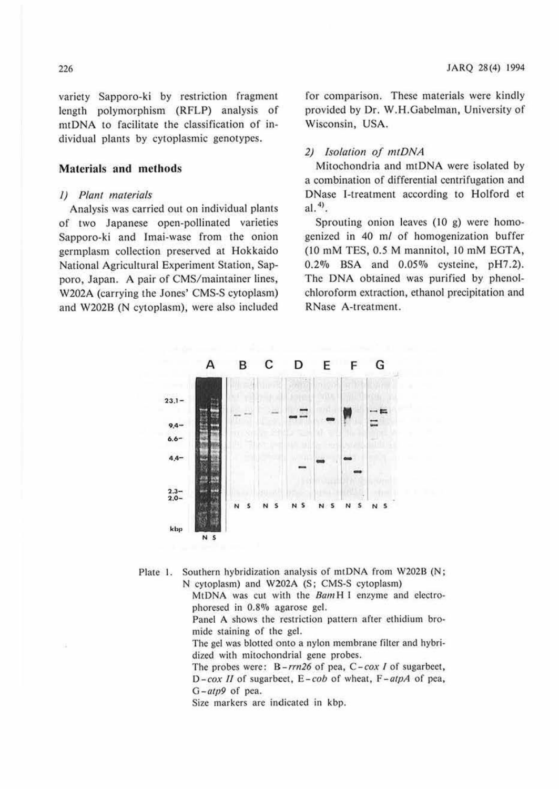variety Sapporo-ki by restriction fragment length polymorphism (RFLP) analysis of mtDNA to facilitate the classification of individual plants by cytoplasmic genotypes.

## **Materials and methods**

## I) *Plant materials*

Analysis was carried out on individual plants of two Japanese open-pollinated varieties Sapporo-ki and Imai-wasc from the onion germplasm collection preserved at Hokkaido National Agricultural Experiment Station, Sapporo, Japan. A pair of CMS/maintainer lines, W202A (carrying the Jones' CMS-S cytoplasm) and W2028 (N cytoplasm), were also included

for comparison. These materials were kindly provided by Dr. W.H.Gabelman, University of Wisconsin, USA.

# *2) Isolation of mtDNA*

Mitochondria and mtDNA were isolated by a combination of differential centrifugation and DNase 1-treatmeni according to Holford et al. $<sup>4</sup>$ .</sup>

Sprouting onion leaves (10 g) were homogenized in 40 m/ of homogenization buffer (10 mM TES, *0.5* M mannitol, JO mM EGTA, 0.2% BSA and 0.05% cysteine, pH7.2). The DNA obtained was purified by phenolchloroform extraction, ethanol precipitation and RNase A-treatment.



Plate 1. Southern hybridization analysis of mtDNA from W202B (N; N cytoplasm) and W202A (S; CMS-S cytoplasm)

MtDNA was cut with the BamH I enzyme and electrophoresed in 0.8% agarose gel.

Panel A shows the restriction pattern after ethidium bromide staining of the gel.

The gel was blotted onto a nylon membrane filter and hybridized with mitochondrial gene probes.

The probes were:  $B-rrn26$  of pea,  $C-cox I$  of sugarbeet, *D-cox II* of sugarbeet, *E-cob* of wheat, *F-atpA* of pea, *G-atp9* or pea.

Size markers are indicated in kbp.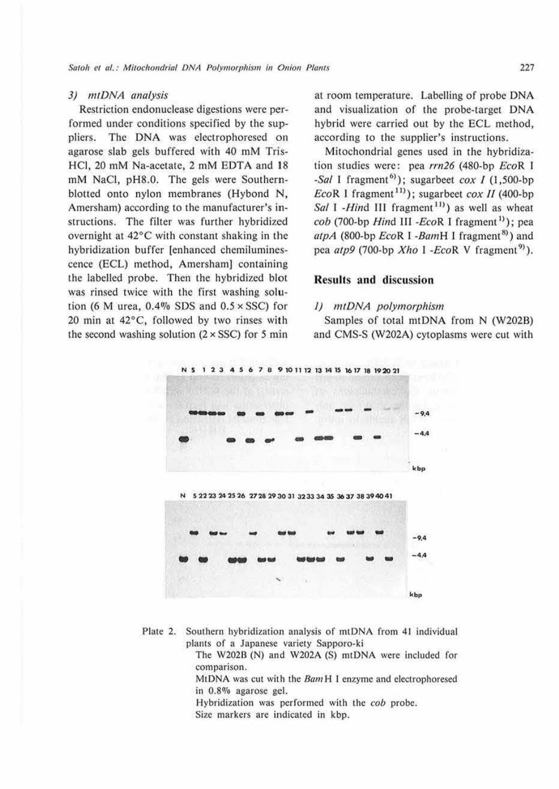# 3) mtDNA analysis

Restriction endonuclease digestions were performed under conditions specified by the suppliers. The DNA was electrophoresed on agarose slab gels buffered with 40 mM Tris-HCI, 20 mM Na-acetate, 2 mM EDTA and **18**  mM NaCl, pH8.0. The gels were Southernblotted onto nylon membranes (Hybond N, Amersham) according to the manufacturer's **in**structions. The filter was further hybridized overnight at 42°C with constant shaking in the hybridization buffer (enhanced chemiluminescence (ECL) method, Amersham] containing the labelled probe. Then the hybridized blot was rinsed twice with the first washing solution (6 M urea,  $0.4\%$  SDS and  $0.5 \times$  SSC) for 20 min at 42°C, followed by two rinses with the second washing solution  $(2 \times SSC)$  for 5 min at room temperature. Labelling of probe DNA and visualization of the probe-target DNA hybrid were carried out by the ECL method, according to the supplier's instructions.

Mitochondrial genes used in the hybridization studies were: pea *rrn26* (480-bp EcoR I -Sal I fragment<sup>61</sup>); sugarbeet cox *I* (1,500-bp) EcoR 1 fragment<sup>11</sup>); sugarbeet cox *II* (400-bp) Sal I -Hind III fragment<sup>11</sup>) as well as wheat  $\cosh(700 \text{-} \text{bp} \text{ Hind III} - \cosh(100 \text{m}) \text{m} \cdot \text{f}$  ragment<sup>1)</sup>); pea atpA (800-bp EcoR I -BamH I fragment<sup>8)</sup>) and pea *atp9* (700-bp *Xho* I *-EcoR* V fragment<sup>9</sup>).

# **Results and discussion**

# *I)* mtDNA polymorphism

Samples of total mtDNA from N (W202B) and CMS-S (W202A) cytoplasms were cut with



Plate 2. Southern hybridization analysis of mtDNA from 41 individual plants of a Japanese variety Sapporo-ki

> The W2028 (N) and W202A (\$) mtDNA were included for comparison.

> MtDNA was cut with the *8am* H I enzyme and electrophoresed in 0.8% agarose gel.

Hybridization was performed with the *cob* probe.

Size markers are indicated in kbp.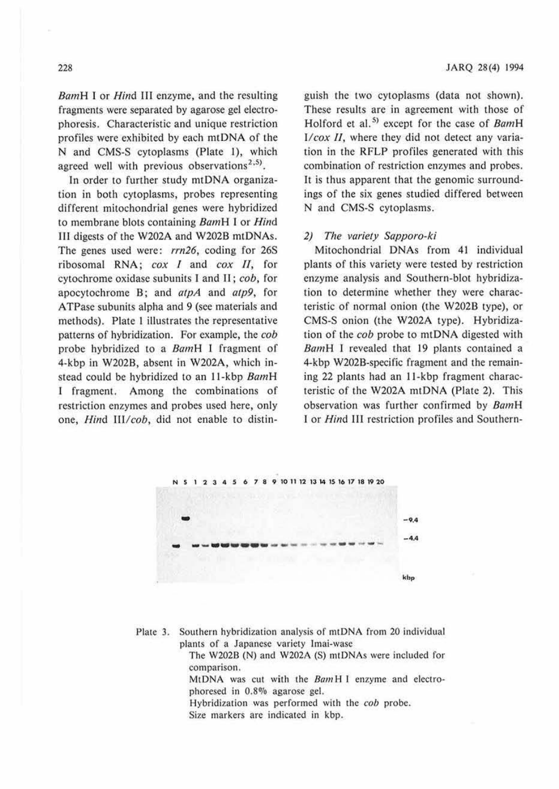BamH I or *Hind III* enzyme, and the resulting fragments were separated by agarose gel electrophoresis. Characteristic and unique restriction profiles were exhibited by each mtDNA of the N and CMS-S cytoplasms (Plate 1), which agreed well with previous observations<sup>2,5)</sup>.

In order to further study mtDNA organization in both cytoplasms, probes representing different mitochondrial genes were hybridized to membrane blots comaining BamH l or *Hind*  lil digests of the W202A and W202B mtDNAs. The genes used were: *rrn26,* coding for 26S ribosomal RNA; *cox I* and *cox* fl, for cytochrome oxidase subunits I and II ; *cob,* for apocytochrome B; and *atpA* and *atp9,* for ATPasc subunits alpha and 9 (see materials and methods). Plate I illustrates the representative patterns of hybridization. For example, the *cob*  probe hybridized to a BamH I fragment of 4-kbp in W2028, absent in W202A, which instead could be hybridized to an 11-kbp BamH I fragment. Among the combinations of restriction enzymes and probes used here, only one, *Hind Ill/cob,* did not enable to distinguish the two cytoplasms (data not shown). These results are in agreement with those of Holford et al.<sup>5)</sup> except for the case of BamH *I/cox II*, where they did not detect any variation in the RFLP profiles generated with this combination of restriction enzymes and probes. It is thus apparent that the genomic surroundings of the six genes studied differed between N and CMS-S cytoplasms.

## *2) The variety Sapporo-ki*

Mitochondrial DNAs from 41 individual plants of this variety were tested by restriction enzyme analysis and Southern-blot hybridization to determine whether they were characteristic of normal onion (the W202B type), or CMS-S onion (the W202A type). Hybridization of the *cob* probe to mtDNA digested with BamH I revealed that 19 plants contained a 4-kbp W202B-specific fragment and the remaining 22 plants had an 11-kbp fragment characteristic of the W202A mtDNA (Plate 2). This observation was further confirmed by BamH I or *Hind* Ill restriction profiles and Southern-



Plate 3. Southern hybridization analysis of mtDNA from 20 individual plants of a Japanese variety lmai-wase

> The W202B (N) and W202A (S) mtDNAs were included for comparison.

> MtDNA was cut with the *BamHI* enzyme and electrophoresed in 0.8% agarose gel.

Hybridization was performed with the *cob* probe.

Size markers arc indicated in kbp.